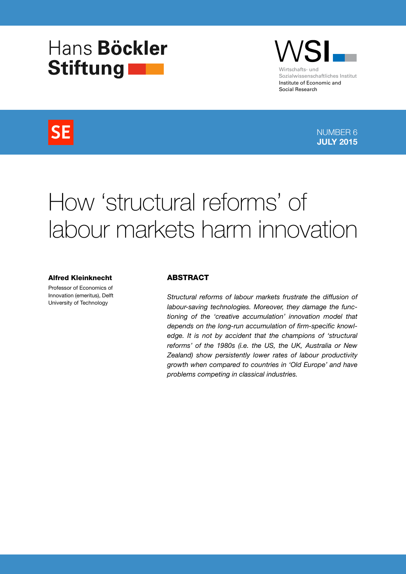# Hans Böckler Stiftung



# **SE**

NUMBER 6 JULY 2015

# How 'structural reforms' of labour markets harm innovation

#### Alfred Kleinknecht

Professor of Economics of Innovation (emeritus), Delft University of Technology

#### ABSTRACT

Structural reforms of labour markets frustrate the diffusion of labour-saving technologies. Moreover, they damage the functioning of the 'creative accumulation' innovation model that depends on the long-run accumulation of firm-specific knowledge. It is not by accident that the champions of 'structural reforms' of the 1980s (i.e. the US, the UK, Australia or New Zealand) show persistently lower rates of labour productivity growth when compared to countries in 'Old Europe' and have problems competing in classical industries.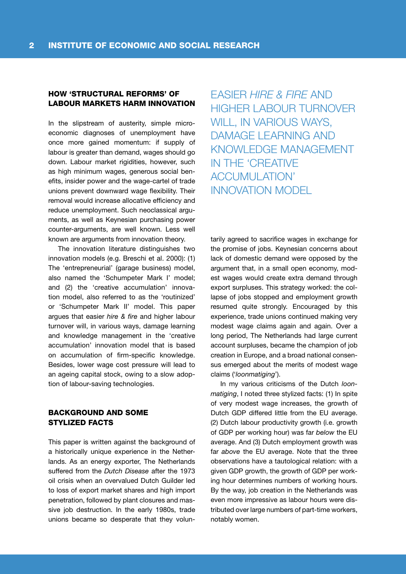### HOW 'STRUCTURAL REFORMS' OF LABOUR MARKETS HARM INNOVATION

In the slipstream of austerity, simple microeconomic diagnoses of unemployment have once more gained momentum: if supply of labour is greater than demand, wages should go down. Labour market rigidities, however, such as high minimum wages, generous social benefits, insider power and the wage-cartel of trade unions prevent downward wage flexibility. Their removal would increase allocative efficiency and reduce unemployment. Such neoclassical arguments, as well as Keynesian purchasing power counter-arguments, are well known. Less well known are arguments from innovation theory.

The innovation literature distinguishes two innovation models (e.g. Breschi et al. 2000): (1) The 'entrepreneurial' (garage business) model, also named the 'Schumpeter Mark I' model; and (2) the 'creative accumulation' innovation model, also referred to as the 'routinized' or 'Schumpeter Mark II' model. This paper argues that easier hire & fire and higher labour turnover will, in various ways, damage learning and knowledge management in the 'creative accumulation' innovation model that is based on accumulation of firm-specific knowledge. Besides, lower wage cost pressure will lead to an ageing capital stock, owing to a slow adoption of labour-saving technologies.

# BACKGROUND AND SOME STYLIZED FACTS

This paper is written against the background of a historically unique experience in the Netherlands. As an energy exporter, The Netherlands suffered from the Dutch Disease after the 1973 oil crisis when an overvalued Dutch Guilder led to loss of export market shares and high import penetration, followed by plant closures and massive job destruction. In the early 1980s, trade unions became so desperate that they volun-

EASIER HIRE & FIRE AND HIGHER LABOUR TURNOVER WILL, IN VARIOUS WAYS, DAMAGE LEARNING AND KNOWLEDGE MANAGEMENT IN THE 'CREATIVE ACCUMULATION' INNOVATION MODEL

tarily agreed to sacrifice wages in exchange for the promise of jobs. Keynesian concerns about lack of domestic demand were opposed by the argument that, in a small open economy, modest wages would create extra demand through export surpluses. This strategy worked: the collapse of jobs stopped and employment growth resumed quite strongly. Encouraged by this experience, trade unions continued making very modest wage claims again and again. Over a long period, The Netherlands had large current account surpluses, became the champion of job creation in Europe, and a broad national consensus emerged about the merits of modest wage claims ('loonmatiging').

In my various criticisms of the Dutch loonmatiging, I noted three stylized facts: (1) In spite of very modest wage increases, the growth of Dutch GDP differed little from the EU average. (2) Dutch labour productivity growth (i.e. growth of GDP per working hour) was far below the EU average. And (3) Dutch employment growth was far *above* the EU average. Note that the three observations have a tautological relation: with a given GDP growth, the growth of GDP per working hour determines numbers of working hours. By the way, job creation in the Netherlands was even more impressive as labour hours were distributed over large numbers of part-time workers, notably women.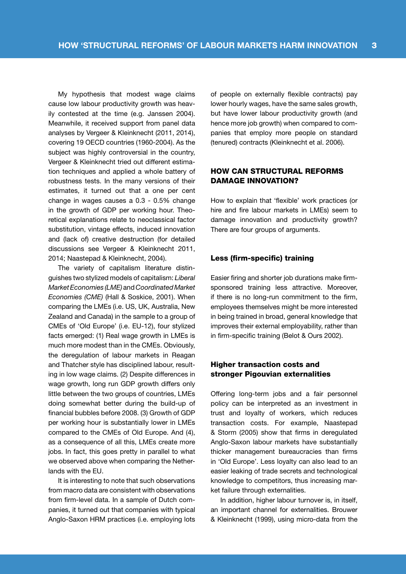My hypothesis that modest wage claims cause low labour productivity growth was heavily contested at the time (e.g. Janssen 2004). Meanwhile, it received support from panel data analyses by Vergeer & Kleinknecht (2011, 2014), covering 19 OECD countries (1960-2004). As the subject was highly controversial in the country, Vergeer & Kleinknecht tried out different estimation techniques and applied a whole battery of robustness tests. In the many versions of their estimates, it turned out that a one per cent change in wages causes a 0.3 - 0.5% change in the growth of GDP per working hour. Theoretical explanations relate to neoclassical factor substitution, vintage effects, induced innovation and (lack of) creative destruction (for detailed discussions see Vergeer & Kleinknecht 2011, 2014; Naastepad & Kleinknecht, 2004).

The variety of capitalism literature distinguishes two stylized models of capitalism: Liberal Market Economies (LME) and Coordinated Market Economies (CME) (Hall & Soskice, 2001). When comparing the LMEs (i.e. US, UK, Australia, New Zealand and Canada) in the sample to a group of CMEs of 'Old Europe' (i.e. EU-12), four stylized facts emerged: (1) Real wage growth in LMEs is much more modest than in the CMEs. Obviously, the deregulation of labour markets in Reagan and Thatcher style has disciplined labour, resulting in low wage claims. (2) Despite differences in wage growth, long run GDP growth differs only little between the two groups of countries, LMEs doing somewhat better during the build-up of financial bubbles before 2008. (3) Growth of GDP per working hour is substantially lower in LMEs compared to the CMEs of Old Europe. And (4), as a consequence of all this, LMEs create more jobs. In fact, this goes pretty in parallel to what we observed above when comparing the Netherlands with the EU.

It is interesting to note that such observations from macro data are consistent with observations from firm-level data. In a sample of Dutch companies, it turned out that companies with typical Anglo-Saxon HRM practices (i.e. employing lots of people on externally flexible contracts) pay lower hourly wages, have the same sales growth, but have lower labour productivity growth (and hence more job growth) when compared to companies that employ more people on standard (tenured) contracts (Kleinknecht et al. 2006).

# HOW CAN STRUCTURAL REFORMS DAMAGE INNOVATION?

How to explain that 'flexible' work practices (or hire and fire labour markets in LMEs) seem to damage innovation and productivity growth? There are four groups of arguments.

#### Less (firm-specific) training

Easier firing and shorter job durations make firmsponsored training less attractive. Moreover, if there is no long-run commitment to the firm, employees themselves might be more interested in being trained in broad, general knowledge that improves their external employability, rather than in firm-specific training (Belot & Ours 2002).

# Higher transaction costs and stronger Pigouvian externalities

Offering long-term jobs and a fair personnel policy can be interpreted as an investment in trust and loyalty of workers, which reduces transaction costs. For example, Naastepad & Storm (2005) show that firms in deregulated Anglo-Saxon labour markets have substantially thicker management bureaucracies than firms in 'Old Europe'. Less loyalty can also lead to an easier leaking of trade secrets and technological knowledge to competitors, thus increasing market failure through externalities.

In addition, higher labour turnover is, in itself, an important channel for externalities. Brouwer & Kleinknecht (1999), using micro-data from the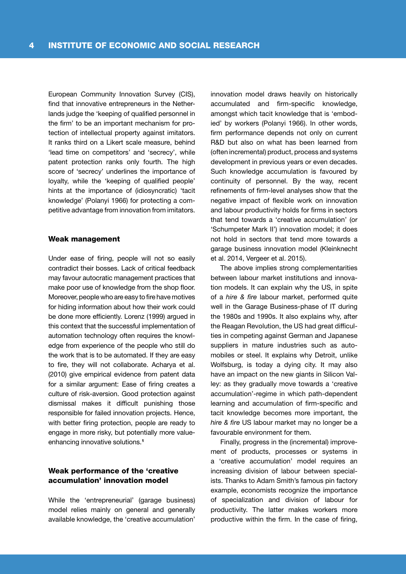European Community Innovation Survey (CIS), find that innovative entrepreneurs in the Netherlands judge the 'keeping of qualified personnel in the firm' to be an important mechanism for protection of intellectual property against imitators. It ranks third on a Likert scale measure, behind 'lead time on competitors' and 'secrecy', while patent protection ranks only fourth. The high score of 'secrecy' underlines the importance of loyalty, while the 'keeping of qualified people' hints at the importance of (idiosyncratic) 'tacit knowledge' (Polanyi 1966) for protecting a competitive advantage from innovation from imitators.

#### Weak management

Under ease of firing, people will not so easily contradict their bosses. Lack of critical feedback may favour autocratic management practices that make poor use of knowledge from the shop floor. Moreover, people who are easy to fire have motives for hiding information about how their work could be done more efficiently. Lorenz (1999) argued in this context that the successful implementation of automation technology often requires the knowledge from experience of the people who still do the work that is to be automated. If they are easy to fire, they will not collaborate. Acharya et al. (2010) give empirical evidence from patent data for a similar argument: Ease of firing creates a culture of risk-aversion. Good protection against dismissal makes it difficult punishing those responsible for failed innovation projects. Hence, with better firing protection, people are ready to engage in more risky, but potentially more valueenhancing innovative solutions.<sup>1</sup>

# Weak performance of the 'creative accumulation' innovation model

While the 'entrepreneurial' (garage business) model relies mainly on general and generally available knowledge, the 'creative accumulation' innovation model draws heavily on historically accumulated and firm-specific knowledge, amongst which tacit knowledge that is 'embodied' by workers (Polanyi 1966). In other words, firm performance depends not only on current R&D but also on what has been learned from (often incremental) product, process and systems development in previous years or even decades. Such knowledge accumulation is favoured by continuity of personnel. By the way, recent refinements of firm-level analyses show that the negative impact of flexible work on innovation and labour productivity holds for firms in sectors that tend towards a 'creative accumulation' (or 'Schumpeter Mark II') innovation model; it does not hold in sectors that tend more towards a garage business innovation model (Kleinknecht et al. 2014, Vergeer et al. 2015).

The above implies strong complementarities between labour market institutions and innovation models. It can explain why the US, in spite of a hire & fire labour market, performed quite well in the Garage Business-phase of IT during the 1980s and 1990s. It also explains why, after the Reagan Revolution, the US had great difficulties in competing against German and Japanese suppliers in mature industries such as automobiles or steel. It explains why Detroit, unlike Wolfsburg, is today a dying city. It may also have an impact on the new giants in Silicon Valley: as they gradually move towards a 'creative accumulation'-regime in which path-dependent learning and accumulation of firm-specific and tacit knowledge becomes more important, the hire & fire US labour market may no longer be a favourable environment for them.

Finally, progress in the (incremental) improvement of products, processes or systems in a 'creative accumulation' model requires an increasing division of labour between specialists. Thanks to Adam Smith's famous pin factory example, economists recognize the importance of specialization and division of labour for productivity. The latter makes workers more productive within the firm. In the case of firing,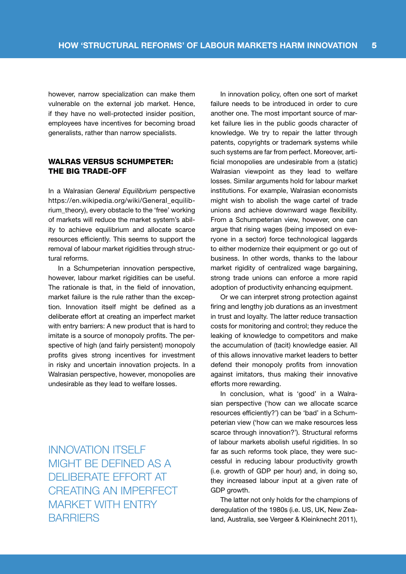however, narrow specialization can make them vulnerable on the external job market. Hence, if they have no well-protected insider position, employees have incentives for becoming broad generalists, rather than narrow specialists.

# WALRAS VERSUS SCHUMPETER: THE BIG TRADE-OFF

In a Walrasian General Equilibrium perspective https://en.wikipedia.org/wiki/General\_equilibrium theory), every obstacle to the 'free' working of markets will reduce the market system's ability to achieve equilibrium and allocate scarce resources efficiently. This seems to support the removal of labour market rigidities through structural reforms.

In a Schumpeterian innovation perspective, however, labour market rigidities can be useful. The rationale is that, in the field of innovation, market failure is the rule rather than the exception. Innovation itself might be defined as a deliberate effort at creating an imperfect market with entry barriers: A new product that is hard to imitate is a source of monopoly profits. The perspective of high (and fairly persistent) monopoly profits gives strong incentives for investment in risky and uncertain innovation projects. In a Walrasian perspective, however, monopolies are undesirable as they lead to welfare losses.

INNOVATION ITSELF MIGHT BE DEFINED AS A DELIBERATE EFFORT AT CREATING AN IMPERFECT MARKET WITH ENTRY **BARRIERS** 

In innovation policy, often one sort of market failure needs to be introduced in order to cure another one. The most important source of market failure lies in the public goods character of knowledge. We try to repair the latter through patents, copyrights or trademark systems while such systems are far from perfect. Moreover, artificial monopolies are undesirable from a (static) Walrasian viewpoint as they lead to welfare losses. Similar arguments hold for labour market institutions. For example, Walrasian economists might wish to abolish the wage cartel of trade unions and achieve downward wage flexibility. From a Schumpeterian view, however, one can argue that rising wages (being imposed on everyone in a sector) force technological laggards to either modernize their equipment or go out of business. In other words, thanks to the labour market rigidity of centralized wage bargaining, strong trade unions can enforce a more rapid adoption of productivity enhancing equipment.

Or we can interpret strong protection against firing and lengthy job durations as an investment in trust and loyalty. The latter reduce transaction costs for monitoring and control; they reduce the leaking of knowledge to competitors and make the accumulation of (tacit) knowledge easier. All of this allows innovative market leaders to better defend their monopoly profits from innovation against imitators, thus making their innovative efforts more rewarding.

In conclusion, what is 'good' in a Walrasian perspective ('how can we allocate scarce resources efficiently?') can be 'bad' in a Schumpeterian view ('how can we make resources less scarce through innovation?'). Structural reforms of labour markets abolish useful rigidities. In so far as such reforms took place, they were successful in reducing labour productivity growth (i.e. growth of GDP per hour) and, in doing so, they increased labour input at a given rate of GDP growth.

The latter not only holds for the champions of deregulation of the 1980s (i.e. US, UK, New Zealand, Australia, see Vergeer & Kleinknecht 2011),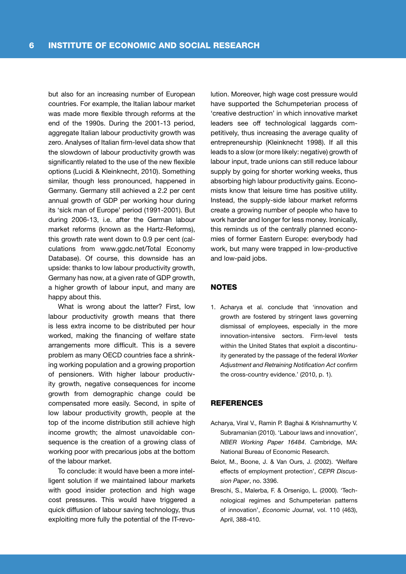but also for an increasing number of European countries. For example, the Italian labour market was made more flexible through reforms at the end of the 1990s. During the 2001-13 period, aggregate Italian labour productivity growth was zero. Analyses of Italian firm-level data show that the slowdown of labour productivity growth was significantly related to the use of the new flexible options (Lucidi & Kleinknecht, 2010). Something similar, though less pronounced, happened in Germany. Germany still achieved a 2.2 per cent annual growth of GDP per working hour during its 'sick man of Europe' period (1991-2001). But during 2006-13, i.e. after the German labour market reforms (known as the Hartz-Reforms), this growth rate went down to 0.9 per cent (calculations from www.ggdc.net/Total Economy Database). Of course, this downside has an upside: thanks to low labour productivity growth, Germany has now, at a given rate of GDP growth, a higher growth of labour input, and many are happy about this.

What is wrong about the latter? First, low labour productivity growth means that there is less extra income to be distributed per hour worked, making the financing of welfare state arrangements more difficult. This is a severe problem as many OECD countries face a shrinking working population and a growing proportion of pensioners. With higher labour productivity growth, negative consequences for income growth from demographic change could be compensated more easily. Second, in spite of low labour productivity growth, people at the top of the income distribution still achieve high income growth; the almost unavoidable consequence is the creation of a growing class of working poor with precarious jobs at the bottom of the labour market.

To conclude: it would have been a more intelligent solution if we maintained labour markets with good insider protection and high wage cost pressures. This would have triggered a quick diffusion of labour saving technology, thus exploiting more fully the potential of the IT-revo-

lution. Moreover, high wage cost pressure would have supported the Schumpeterian process of 'creative destruction' in which innovative market leaders see off technological laggards competitively, thus increasing the average quality of entrepreneurship (Kleinknecht 1998). If all this leads to a slow (or more likely: negative) growth of labour input, trade unions can still reduce labour supply by going for shorter working weeks, thus absorbing high labour productivity gains. Economists know that leisure time has positive utility. Instead, the supply-side labour market reforms create a growing number of people who have to work harder and longer for less money. Ironically, this reminds us of the centrally planned economies of former Eastern Europe: everybody had work, but many were trapped in low-productive and low-paid jobs.

### **NOTES**

1. Acharya et al. conclude that 'innovation and growth are fostered by stringent laws governing dismissal of employees, especially in the more innovation-intensive sectors. Firm-level tests within the United States that exploit a discontinuity generated by the passage of the federal Worker Adjustment and Retraining Notification Act confirm the cross-country evidence.' (2010, p. 1).

#### **REFERENCES**

- Acharya, Viral V., Ramin P. Baghai & Krishnamurthy V. Subramanian (2010). 'Labour laws and innovation', NBER Working Paper 16484. Cambridge, MA: National Bureau of Economic Research.
- Belot, M., Boone, J. & Van Ours, J. (2002). 'Welfare effects of employment protection', CEPR Discussion Paper, no. 3396.
- Breschi, S., Malerba, F. & Orsenigo, L. (2000). 'Technological regimes and Schumpeterian patterns of innovation', Economic Journal, vol. 110 (463), April, 388-410.